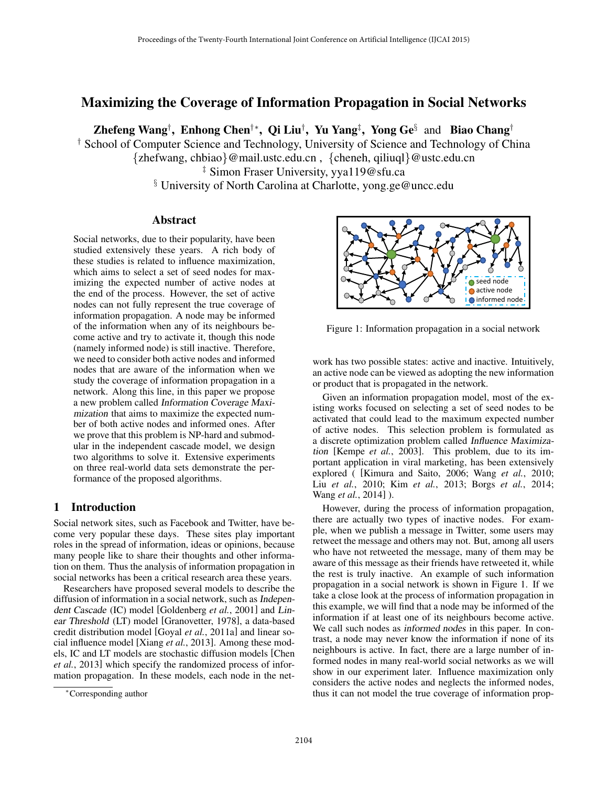# Maximizing the Coverage of Information Propagation in Social Networks

Zhefeng Wang<sup>†</sup>, Enhong Chen<sup>†</sup>\*, Qi Liu<sup>†</sup>, Yu Yang<sup>‡</sup>, Yong Ge<sup>§</sup> and Biao Chang<sup>†</sup>

† School of Computer Science and Technology, University of Science and Technology of China {zhefwang, chbiao}@mail.ustc.edu.cn , {cheneh, qiliuql}@ustc.edu.cn

‡ Simon Fraser University, yya119@sfu.ca

§ University of North Carolina at Charlotte, yong.ge@uncc.edu

### Abstract

Social networks, due to their popularity, have been studied extensively these years. A rich body of these studies is related to influence maximization, which aims to select a set of seed nodes for maximizing the expected number of active nodes at the end of the process. However, the set of active nodes can not fully represent the true coverage of information propagation. A node may be informed of the information when any of its neighbours become active and try to activate it, though this node (namely informed node) is still inactive. Therefore, we need to consider both active nodes and informed nodes that are aware of the information when we study the coverage of information propagation in a network. Along this line, in this paper we propose a new problem called Information Coverage Maximization that aims to maximize the expected number of both active nodes and informed ones. After we prove that this problem is NP-hard and submodular in the independent cascade model, we design two algorithms to solve it. Extensive experiments on three real-world data sets demonstrate the performance of the proposed algorithms.

## 1 Introduction

Social network sites, such as Facebook and Twitter, have become very popular these days. These sites play important roles in the spread of information, ideas or opinions, because many people like to share their thoughts and other information on them. Thus the analysis of information propagation in social networks has been a critical research area these years.

Researchers have proposed several models to describe the diffusion of information in a social network, such as Independent Cascade (IC) model [Goldenberg *et al.*, 2001] and Linear Threshold (LT) model [Granovetter, 1978], a data-based credit distribution model [Goyal *et al.*, 2011a] and linear social influence model [Xiang *et al.*, 2013]. Among these models, IC and LT models are stochastic diffusion models [Chen *et al.*, 2013] which specify the randomized process of information propagation. In these models, each node in the net-



Figure 1: Information propagation in a social network

work has two possible states: active and inactive. Intuitively, an active node can be viewed as adopting the new information or product that is propagated in the network.

Given an information propagation model, most of the existing works focused on selecting a set of seed nodes to be activated that could lead to the maximum expected number of active nodes. This selection problem is formulated as a discrete optimization problem called Influence Maximization [Kempe *et al.*, 2003]. This problem, due to its important application in viral marketing, has been extensively explored ( [Kimura and Saito, 2006; Wang *et al.*, 2010; Liu *et al.*, 2010; Kim *et al.*, 2013; Borgs *et al.*, 2014; Wang *et al.*, 2014] ).

However, during the process of information propagation, there are actually two types of inactive nodes. For example, when we publish a message in Twitter, some users may retweet the message and others may not. But, among all users who have not retweeted the message, many of them may be aware of this message as their friends have retweeted it, while the rest is truly inactive. An example of such information propagation in a social network is shown in Figure 1. If we take a close look at the process of information propagation in this example, we will find that a node may be informed of the information if at least one of its neighbours become active. We call such nodes as informed nodes in this paper. In contrast, a node may never know the information if none of its neighbours is active. In fact, there are a large number of informed nodes in many real-world social networks as we will show in our experiment later. Influence maximization only considers the active nodes and neglects the informed nodes, thus it can not model the true coverage of information prop-

<sup>∗</sup>Corresponding author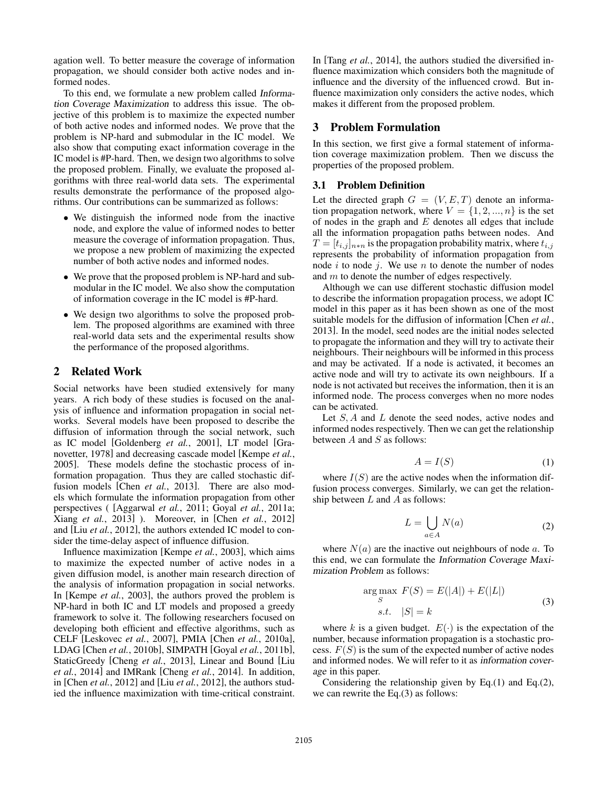agation well. To better measure the coverage of information propagation, we should consider both active nodes and informed nodes.

To this end, we formulate a new problem called Information Coverage Maximization to address this issue. The objective of this problem is to maximize the expected number of both active nodes and informed nodes. We prove that the problem is NP-hard and submodular in the IC model. We also show that computing exact information coverage in the IC model is #P-hard. Then, we design two algorithms to solve the proposed problem. Finally, we evaluate the proposed algorithms with three real-world data sets. The experimental results demonstrate the performance of the proposed algorithms. Our contributions can be summarized as follows:

- We distinguish the informed node from the inactive node, and explore the value of informed nodes to better measure the coverage of information propagation. Thus, we propose a new problem of maximizing the expected number of both active nodes and informed nodes.
- We prove that the proposed problem is NP-hard and submodular in the IC model. We also show the computation of information coverage in the IC model is #P-hard.
- We design two algorithms to solve the proposed problem. The proposed algorithms are examined with three real-world data sets and the experimental results show the performance of the proposed algorithms.

### 2 Related Work

Social networks have been studied extensively for many years. A rich body of these studies is focused on the analysis of influence and information propagation in social networks. Several models have been proposed to describe the diffusion of information through the social network, such as IC model [Goldenberg *et al.*, 2001], LT model [Granovetter, 1978] and decreasing cascade model [Kempe *et al.*, 2005]. These models define the stochastic process of information propagation. Thus they are called stochastic diffusion models [Chen *et al.*, 2013]. There are also models which formulate the information propagation from other perspectives ( [Aggarwal *et al.*, 2011; Goyal *et al.*, 2011a; Xiang *et al.*, 2013] ). Moreover, in [Chen *et al.*, 2012] and [Liu *et al.*, 2012], the authors extended IC model to consider the time-delay aspect of influence diffusion.

Influence maximization [Kempe *et al.*, 2003], which aims to maximize the expected number of active nodes in a given diffusion model, is another main research direction of the analysis of information propagation in social networks. In [Kempe *et al.*, 2003], the authors proved the problem is NP-hard in both IC and LT models and proposed a greedy framework to solve it. The following researchers focused on developing both efficient and effective algorithms, such as CELF [Leskovec *et al.*, 2007], PMIA [Chen *et al.*, 2010a], LDAG [Chen *et al.*, 2010b], SIMPATH [Goyal *et al.*, 2011b], StaticGreedy [Cheng *et al.*, 2013], Linear and Bound [Liu *et al.*, 2014] and IMRank [Cheng *et al.*, 2014]. In addition, in [Chen *et al.*, 2012] and [Liu *et al.*, 2012], the authors studied the influence maximization with time-critical constraint. In [Tang *et al.*, 2014], the authors studied the diversified influence maximization which considers both the magnitude of influence and the diversity of the influenced crowd. But influence maximization only considers the active nodes, which makes it different from the proposed problem.

#### 3 Problem Formulation

In this section, we first give a formal statement of information coverage maximization problem. Then we discuss the properties of the proposed problem.

#### 3.1 Problem Definition

Let the directed graph  $G = (V, E, T)$  denote an information propagation network, where  $V = \{1, 2, ..., n\}$  is the set of nodes in the graph and  $E$  denotes all edges that include all the information propagation paths between nodes. And  $T = [t_{i,j}]_{n*n}$  is the propagation probability matrix, where  $t_{i,j}$ represents the probability of information propagation from node  $i$  to node  $j$ . We use  $n$  to denote the number of nodes and m to denote the number of edges respectively.

Although we can use different stochastic diffusion model to describe the information propagation process, we adopt IC model in this paper as it has been shown as one of the most suitable models for the diffusion of information [Chen *et al.*, 2013]. In the model, seed nodes are the initial nodes selected to propagate the information and they will try to activate their neighbours. Their neighbours will be informed in this process and may be activated. If a node is activated, it becomes an active node and will try to activate its own neighbours. If a node is not activated but receives the information, then it is an informed node. The process converges when no more nodes can be activated.

Let S, A and L denote the seed nodes, active nodes and informed nodes respectively. Then we can get the relationship between  $A$  and  $S$  as follows:

$$
A = I(S) \tag{1}
$$

where  $I(S)$  are the active nodes when the information diffusion process converges. Similarly, we can get the relationship between  $L$  and  $A$  as follows:

$$
L = \bigcup_{a \in A} N(a) \tag{2}
$$

where  $N(a)$  are the inactive out neighbours of node a. To this end, we can formulate the Information Coverage Maximization Problem as follows:

$$
\underset{S}{\text{arg max}} F(S) = E(|A|) + E(|L|)
$$
  
s.t.  $|S| = k$  (3)

where k is a given budget.  $E(\cdot)$  is the expectation of the number, because information propagation is a stochastic process.  $F(S)$  is the sum of the expected number of active nodes and informed nodes. We will refer to it as information coverage in this paper.

Considering the relationship given by Eq.(1) and Eq.(2), we can rewrite the Eq.(3) as follows: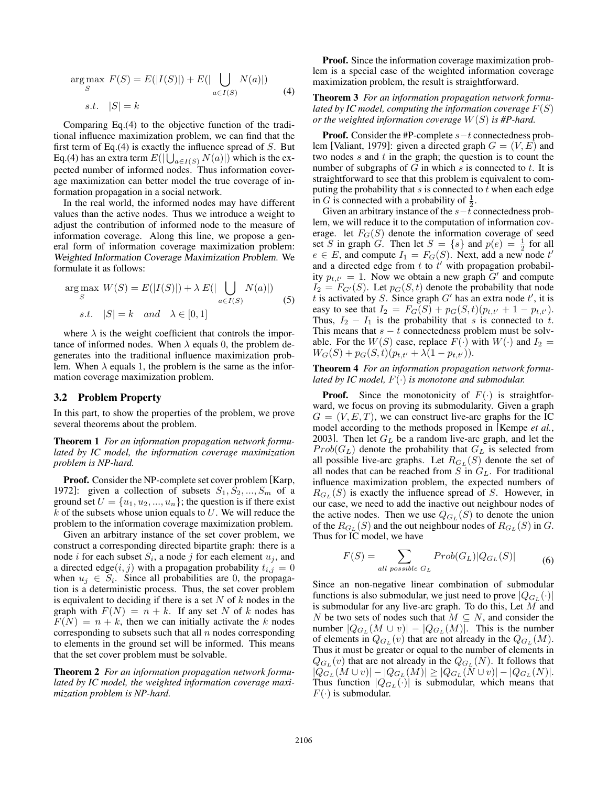$$
\underset{S}{\arg\max} \ F(S) = E(|I(S)|) + E(|\bigcup_{a \in I(S)} N(a)|)
$$
\n
$$
s.t. \ |S| = k
$$
\n
$$
(4)
$$

Comparing Eq.(4) to the objective function of the traditional influence maximization problem, we can find that the first term of Eq.(4) is exactly the influence spread of  $S$ . But Eq.(4) has an extra term  $E(|\bigcup_{a \in I(S)} N(a)|)$  which is the expected number of informed nodes. Thus information coverage maximization can better model the true coverage of information propagation in a social network.

In the real world, the informed nodes may have different values than the active nodes. Thus we introduce a weight to adjust the contribution of informed node to the measure of information coverage. Along this line, we propose a general form of information coverage maximization problem: Weighted Information Coverage Maximization Problem. We formulate it as follows:

$$
\arg\max_{S} W(S) = E(|I(S)|) + \lambda E(|\bigcup_{a \in I(S)} N(a)|)
$$
  
s.t.  $|S| = k$  and  $\lambda \in [0, 1]$  (5)

where  $\lambda$  is the weight coefficient that controls the importance of informed nodes. When  $\lambda$  equals 0, the problem degenerates into the traditional influence maximization problem. When  $\lambda$  equals 1, the problem is the same as the information coverage maximization problem.

#### 3.2 Problem Property

In this part, to show the properties of the problem, we prove several theorems about the problem.

Theorem 1 *For an information propagation network formulated by IC model, the information coverage maximization problem is NP-hard.*

Proof. Consider the NP-complete set cover problem [Karp, 1972]: given a collection of subsets  $S_1, S_2, ..., S_m$  of a ground set  $U = \{u_1, u_2, ..., u_n\}$ ; the question is if there exist  $k$  of the subsets whose union equals to  $U$ . We will reduce the problem to the information coverage maximization problem.

Given an arbitrary instance of the set cover problem, we construct a corresponding directed bipartite graph: there is a node *i* for each subset  $S_i$ , a node *j* for each element  $u_j$ , and a directed edge $(i, j)$  with a propagation probability  $t_{i,j} = 0$ when  $u_j \in S_i$ . Since all probabilities are 0, the propagation is a deterministic process. Thus, the set cover problem is equivalent to deciding if there is a set  $N$  of  $k$  nodes in the graph with  $F(N) = n + k$ . If any set N of k nodes has  $F(N) = n + k$ , then we can initially activate the k nodes corresponding to subsets such that all  $n$  nodes corresponding to elements in the ground set will be informed. This means that the set cover problem must be solvable.

Theorem 2 *For an information propagation network formulated by IC model, the weighted information coverage maximization problem is NP-hard.*

Proof. Since the information coverage maximization problem is a special case of the weighted information coverage maximization problem, the result is straightforward.

Theorem 3 *For an information propagation network formulated by IC model, computing the information coverage*  $F(S)$ *or the weighted information coverage* W(S) *is #P-hard.*

**Proof.** Consider the #P-complete  $s-t$  connectedness problem [Valiant, 1979]: given a directed graph  $G = (V, E)$  and two nodes  $s$  and  $t$  in the graph; the question is to count the number of subgraphs of  $G$  in which  $s$  is connected to  $t$ . It is straightforward to see that this problem is equivalent to computing the probability that  $s$  is connected to  $t$  when each edge in G is connected with a probability of  $\frac{1}{2}$ .

Given an arbitrary instance of the  $s-t$  connectedness problem, we will reduce it to the computation of information coverage. let  $F_G(S)$  denote the information coverage of seed set S in graph G. Then let  $S = \{s\}$  and  $p(e) = \frac{1}{2}$  for all  $e \in E$ , and compute  $I_1 = F_G(S)$ . Next, add a new node t' and a directed edge from t to  $t'$  with propagation probability  $p_{t,t'} = 1$ . Now we obtain a new graph  $G'$  and compute  $I_2 = F_{G'}(S)$ . Let  $p_G(S, t)$  denote the probability that node t is activated by S. Since graph  $G'$  has an extra node  $t'$ , it is easy to see that  $I_2 = F_G(S) + p_G(S, t)(p_{t,t'} + 1 - p_{t,t'}).$ Thus,  $I_2 - I_1$  is the probability that s is connected to t. This means that  $s - t$  connectedness problem must be solvable. For the  $W(S)$  case, replace  $F(\cdot)$  with  $W(\cdot)$  and  $I_2 =$  $W_G(S) + p_G(S, t)(p_{t,t'} + \lambda(1 - p_{t,t'})).$ 

#### Theorem 4 *For an information propagation network formulated by IC model,* F(·) *is monotone and submodular.*

**Proof.** Since the monotonicity of  $F(\cdot)$  is straightforward, we focus on proving its submodularity. Given a graph  $G = (V, E, T)$ , we can construct live-arc graphs for the IC model according to the methods proposed in [Kempe *et al.*, 2003]. Then let  $G_L$  be a random live-arc graph, and let the  $Prob(G_L)$  denote the probability that  $G_L$  is selected from all possible live-arc graphs. Let  $R_{G_L}(S)$  denote the set of all nodes that can be reached from  $S$  in  $G_L$ . For traditional influence maximization problem, the expected numbers of  $R_{G_L}(S)$  is exactly the influence spread of S. However, in our case, we need to add the inactive out neighbour nodes of the active nodes. Then we use  $Q_{G<sub>L</sub>}(S)$  to denote the union of the  $R_{G_L}(S)$  and the out neighbour nodes of  $R_{G_L}(S)$  in  $G$ . Thus for IC model, we have

$$
F(S) = \sum_{all\ possible\ G_L} Prob(G_L)|Q_{G_L}(S)| \tag{6}
$$

Since an non-negative linear combination of submodular functions is also submodular, we just need to prove  $|Q_{G_L}(\cdot)|$ is submodular for any live-arc graph. To do this, Let M and N be two sets of nodes such that  $M \subseteq N$ , and consider the number  $|Q_{G_L}(M \cup v)| - |Q_{G_L}(M)|$ . This is the number of elements in  $Q_{G_L}(v)$  that are not already in the  $Q_{G_L}(M)$ . Thus it must be greater or equal to the number of elements in  $Q_{G_L}(v)$  that are not already in the  $Q_{G_L}(N)$ . It follows that  $|Q_{G_L}(M \cup v)| - |Q_{G_L}(M)| \geq |Q_{G_L}(N \cup v)| - |Q_{G_L}(N)|.$ Thus function  $|Q_{G_L}(\cdot)|$  is submodular, which means that  $F(\cdot)$  is submodular.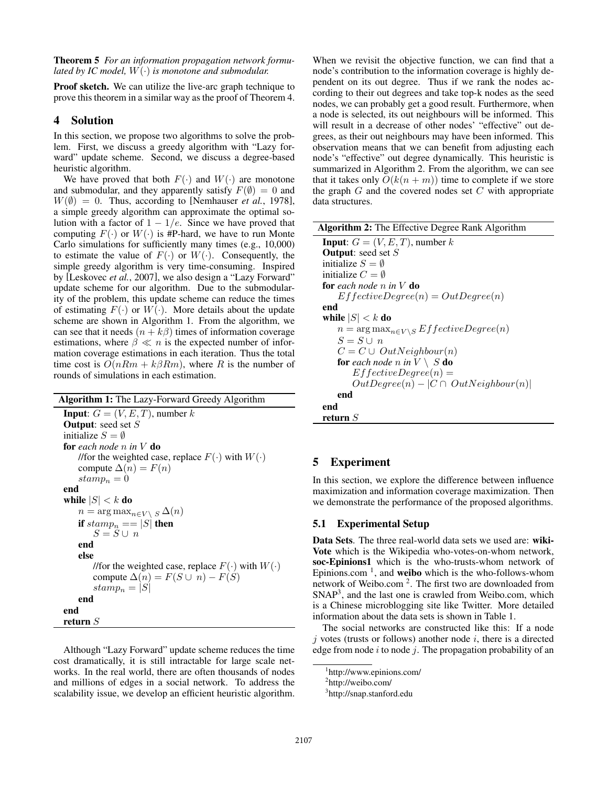Theorem 5 *For an information propagation network formulated by IC model,* W(·) *is monotone and submodular.*

Proof sketch. We can utilize the live-arc graph technique to prove this theorem in a similar way as the proof of Theorem 4.

### 4 Solution

In this section, we propose two algorithms to solve the problem. First, we discuss a greedy algorithm with "Lazy forward" update scheme. Second, we discuss a degree-based heuristic algorithm.

We have proved that both  $F(\cdot)$  and  $W(\cdot)$  are monotone and submodular, and they apparently satisfy  $F(\emptyset) = 0$  and  $W(\emptyset) = 0$ . Thus, according to [Nemhauser *et al.*, 1978], a simple greedy algorithm can approximate the optimal solution with a factor of  $1 - 1/e$ . Since we have proved that computing  $F(\cdot)$  or  $W(\cdot)$  is #P-hard, we have to run Monte Carlo simulations for sufficiently many times (e.g., 10,000) to estimate the value of  $F(\cdot)$  or  $W(\cdot)$ . Consequently, the simple greedy algorithm is very time-consuming. Inspired by [Leskovec *et al.*, 2007], we also design a "Lazy Forward" update scheme for our algorithm. Due to the submodularity of the problem, this update scheme can reduce the times of estimating  $F(\cdot)$  or  $W(\cdot)$ . More details about the update scheme are shown in Algorithm 1. From the algorithm, we can see that it needs  $(n + k\beta)$  times of information coverage estimations, where  $\beta \ll n$  is the expected number of information coverage estimations in each iteration. Thus the total time cost is  $O(nRm + k\beta Rm)$ , where R is the number of rounds of simulations in each estimation.

Algorithm 1: The Lazy-Forward Greedy Algorithm **Input:**  $G = (V, E, T)$ , number k Output: seed set S initialize  $S = \emptyset$ for *each node* n *in* V do //for the weighted case, replace  $F(\cdot)$  with  $W(\cdot)$ compute  $\Delta(n) = F(n)$  $stamp_n = 0$ end while  $|S| < k$  do  $n = \arg \max_{n \in V \setminus S} \Delta(n)$ if  $stamp_n == |S|$  then  $S = S \cup n$ end else //for the weighted case, replace  $F(\cdot)$  with  $W(\cdot)$ compute  $\Delta(n) = F(S \cup n) - F(S)$  $stamp_n = |S|$ end end return S

Although "Lazy Forward" update scheme reduces the time cost dramatically, it is still intractable for large scale networks. In the real world, there are often thousands of nodes and millions of edges in a social network. To address the scalability issue, we develop an efficient heuristic algorithm. When we revisit the objective function, we can find that a node's contribution to the information coverage is highly dependent on its out degree. Thus if we rank the nodes according to their out degrees and take top-k nodes as the seed nodes, we can probably get a good result. Furthermore, when a node is selected, its out neighbours will be informed. This will result in a decrease of other nodes' "effective" out degrees, as their out neighbours may have been informed. This observation means that we can benefit from adjusting each node's "effective" out degree dynamically. This heuristic is summarized in Algorithm 2. From the algorithm, we can see that it takes only  $O(k(n + m))$  time to complete if we store the graph  $G$  and the covered nodes set  $C$  with appropriate data structures.

| <b>Algorithm 2:</b> The Effective Degree Rank Algorithm  |  |  |  |  |
|----------------------------------------------------------|--|--|--|--|
| <b>Input:</b> $G = (V, E, T)$ , number k                 |  |  |  |  |
| <b>Output:</b> seed set $S$                              |  |  |  |  |
| initialize $S = \emptyset$                               |  |  |  |  |
| initialize $C = \emptyset$                               |  |  |  |  |
| for each node n in $V$ do                                |  |  |  |  |
| $EffectiveDegree(n) = OutDegree(n)$                      |  |  |  |  |
| end                                                      |  |  |  |  |
| while $ S  < k$ do                                       |  |  |  |  |
| $n = \arg \max_{n \in V \setminus S} EffectiveDegree(n)$ |  |  |  |  |
| $S = S \cup n$                                           |  |  |  |  |
| $C = C \cup OutNeighbour(n)$                             |  |  |  |  |
| <b>for</b> each node n in $V \setminus S$ <b>do</b>      |  |  |  |  |
| $EffectiveDegree(n) =$                                   |  |  |  |  |
| $OutDegree(n) -  C \cap OutNeighbour(n) $                |  |  |  |  |
| end                                                      |  |  |  |  |
| end                                                      |  |  |  |  |
| return $S$                                               |  |  |  |  |

### 5 Experiment

In this section, we explore the difference between influence maximization and information coverage maximization. Then we demonstrate the performance of the proposed algorithms.

#### 5.1 Experimental Setup

Data Sets. The three real-world data sets we used are: wiki-Vote which is the Wikipedia who-votes-on-whom network, soc-Epinions1 which is the who-trusts-whom network of Epinions.com<sup>1</sup>, and weibo which is the who-follows-whom network of Weibo.com<sup>2</sup>. The first two are downloaded from SNAP<sup>3</sup>, and the last one is crawled from Weibo.com, which is a Chinese microblogging site like Twitter. More detailed information about the data sets is shown in Table 1.

The social networks are constructed like this: If a node  $i$  votes (trusts or follows) another node  $i$ , there is a directed edge from node  $i$  to node  $j$ . The propagation probability of an

<sup>1</sup> http://www.epinions.com/

<sup>&</sup>lt;sup>2</sup>http://weibo.com/

<sup>&</sup>lt;sup>3</sup>http://snap.stanford.edu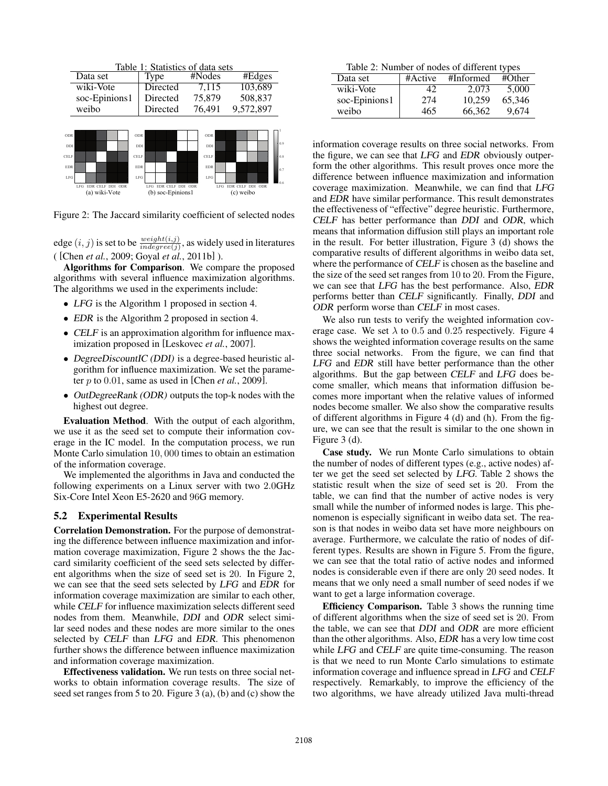| Table 1: Statistics of data sets |                                                       |             |                                              |  |            |                               |  |     |  |
|----------------------------------|-------------------------------------------------------|-------------|----------------------------------------------|--|------------|-------------------------------|--|-----|--|
|                                  | Data set                                              |             | Type                                         |  | #Nodes     | #Edges                        |  |     |  |
|                                  | wiki-Vote                                             |             | Directed                                     |  | 7,115      | 103,689                       |  |     |  |
|                                  | soc-Epinions1                                         |             | Directed                                     |  | 75,879     | 508,837                       |  |     |  |
|                                  | weibo                                                 |             | Directed                                     |  | 76,491     | 9,572,897                     |  |     |  |
|                                  |                                                       |             |                                              |  |            |                               |  |     |  |
| ODR                              |                                                       | ODR         |                                              |  | ODR        |                               |  |     |  |
| DDI                              |                                                       | DDI         |                                              |  | DDI        |                               |  | 0.9 |  |
| CELF                             |                                                       | <b>CELF</b> |                                              |  | CELF       |                               |  | 0.8 |  |
| <b>EDR</b>                       |                                                       | <b>EDR</b>  |                                              |  | EDR        |                               |  | 0.7 |  |
| LFG                              |                                                       | <b>LFG</b>  |                                              |  | <b>LFG</b> |                               |  |     |  |
|                                  | LEG <sup>1</sup><br>EDR CELF DDI ODR<br>(a) wiki-Vote |             | EDR CELF DDI ODR<br>LFG<br>(b) soc-Epinions1 |  | LFG        | EDR CELF DDI ODR<br>(c) weibo |  |     |  |

Figure 2: The Jaccard similarity coefficient of selected nodes

edge  $(i, j)$  is set to be  $\frac{weight(i, j)}{indegree(j)}$ , as widely used in literatures ( [Chen *et al.*, 2009; Goyal *et al.*, 2011b] ).

Algorithms for Comparison. We compare the proposed algorithms with several influence maximization algorithms. The algorithms we used in the experiments include:

- LFG is the Algorithm 1 proposed in section 4.
- EDR is the Algorithm 2 proposed in section 4.
- CELF is an approximation algorithm for influence maximization proposed in [Leskovec *et al.*, 2007].
- DegreeDiscountIC (DDI) is a degree-based heuristic algorithm for influence maximization. We set the parameter p to 0.01, same as used in [Chen *et al.*, 2009].
- OutDegreeRank (ODR) outputs the top-k nodes with the highest out degree.

Evaluation Method. With the output of each algorithm, we use it as the seed set to compute their information coverage in the IC model. In the computation process, we run Monte Carlo simulation 10, 000 times to obtain an estimation of the information coverage.

We implemented the algorithms in Java and conducted the following experiments on a Linux server with two 2.0GHz Six-Core Intel Xeon E5-2620 and 96G memory.

#### 5.2 Experimental Results

Correlation Demonstration. For the purpose of demonstrating the difference between influence maximization and information coverage maximization, Figure 2 shows the the Jaccard similarity coefficient of the seed sets selected by different algorithms when the size of seed set is 20. In Figure 2, we can see that the seed sets selected by LFG and EDR for information coverage maximization are similar to each other, while CELF for influence maximization selects different seed nodes from them. Meanwhile, DDI and ODR select similar seed nodes and these nodes are more similar to the ones selected by CELF than LFG and EDR. This phenomenon further shows the difference between influence maximization and information coverage maximization.

Effectiveness validation. We run tests on three social networks to obtain information coverage results. The size of seed set ranges from 5 to 20. Figure 3 (a), (b) and (c) show the

Table 2: Number of nodes of different types

| Data set      | #Active | #Informed | #Other |
|---------------|---------|-----------|--------|
| wiki-Vote     | 42      | 2.073     | 5.000  |
| soc-Epinions1 | 274     | 10.259    | 65.346 |
| weibo         | 465     | 66.362    | 9.674  |

information coverage results on three social networks. From the figure, we can see that LFG and EDR obviously outperform the other algorithms. This result proves once more the difference between influence maximization and information coverage maximization. Meanwhile, we can find that LFG and EDR have similar performance. This result demonstrates the effectiveness of "effective" degree heuristic. Furthermore, CELF has better performance than DDI and ODR, which means that information diffusion still plays an important role in the result. For better illustration, Figure 3 (d) shows the comparative results of different algorithms in weibo data set, where the performance of CELF is chosen as the baseline and the size of the seed set ranges from 10 to 20. From the Figure, we can see that LFG has the best performance. Also, EDR performs better than CELF significantly. Finally, DDI and ODR perform worse than CELF in most cases.

We also run tests to verify the weighted information coverage case. We set  $\lambda$  to 0.5 and 0.25 respectively. Figure 4 shows the weighted information coverage results on the same three social networks. From the figure, we can find that LFG and EDR still have better performance than the other algorithms. But the gap between CELF and LFG does become smaller, which means that information diffusion becomes more important when the relative values of informed nodes become smaller. We also show the comparative results of different algorithms in Figure 4 (d) and (h). From the figure, we can see that the result is similar to the one shown in Figure 3 (d).

Case study. We run Monte Carlo simulations to obtain the number of nodes of different types (e.g., active nodes) after we get the seed set selected by LFG. Table 2 shows the statistic result when the size of seed set is 20. From the table, we can find that the number of active nodes is very small while the number of informed nodes is large. This phenomenon is especially significant in weibo data set. The reason is that nodes in weibo data set have more neighbours on average. Furthermore, we calculate the ratio of nodes of different types. Results are shown in Figure 5. From the figure, we can see that the total ratio of active nodes and informed nodes is considerable even if there are only 20 seed nodes. It means that we only need a small number of seed nodes if we want to get a large information coverage.

Efficiency Comparison. Table 3 shows the running time of different algorithms when the size of seed set is 20. From the table, we can see that DDI and ODR are more efficient than the other algorithms. Also, EDR has a very low time cost while LFG and CELF are quite time-consuming. The reason is that we need to run Monte Carlo simulations to estimate information coverage and influence spread in LFG and CELF respectively. Remarkably, to improve the efficiency of the two algorithms, we have already utilized Java multi-thread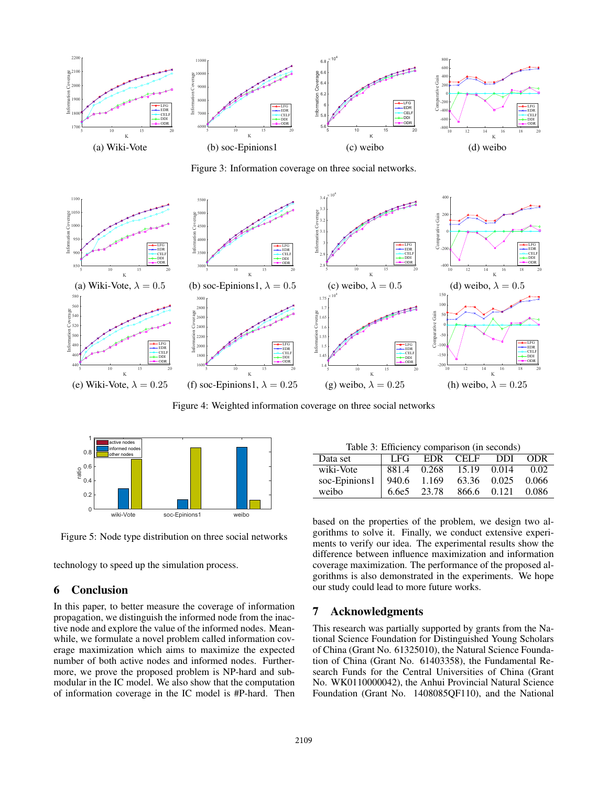

Figure 3: Information coverage on three social networks.



Figure 4: Weighted information coverage on three social networks



Figure 5: Node type distribution on three social networks

technology to speed up the simulation process.

## 6 Conclusion

In this paper, to better measure the coverage of information propagation, we distinguish the informed node from the inactive node and explore the value of the informed nodes. Meanwhile, we formulate a novel problem called information coverage maximization which aims to maximize the expected number of both active nodes and informed nodes. Furthermore, we prove the proposed problem is NP-hard and submodular in the IC model. We also show that the computation of information coverage in the IC model is #P-hard. Then

| radic $\sigma$ . Emicrone, comparison (in seconds) |       |       |          |       |         |  |  |  |
|----------------------------------------------------|-------|-------|----------|-------|---------|--|--|--|
| Data set                                           | -LFG  |       | EDR CELF | DDI.  | ODR     |  |  |  |
| wiki-Vote                                          | 881.4 | 0.268 | 15.19    | 0.014 | 0.02    |  |  |  |
| soc-Epinions1                                      | 940.6 | 1.169 | 63.36    | 0.025 | 0.066   |  |  |  |
| weibo                                              | 6.6e5 | 23.78 | 866.6    | 0.121 | - 0.086 |  |  |  |

based on the properties of the problem, we design two algorithms to solve it. Finally, we conduct extensive experiments to verify our idea. The experimental results show the difference between influence maximization and information coverage maximization. The performance of the proposed algorithms is also demonstrated in the experiments. We hope our study could lead to more future works.

### 7 Acknowledgments

This research was partially supported by grants from the National Science Foundation for Distinguished Young Scholars of China (Grant No. 61325010), the Natural Science Foundation of China (Grant No. 61403358), the Fundamental Research Funds for the Central Universities of China (Grant No. WK0110000042), the Anhui Provincial Natural Science Foundation (Grant No. 1408085QF110), and the National